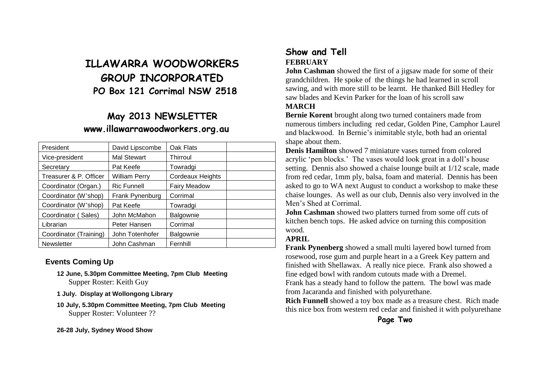# **ILLAWARRA WOODWORKERS GROUP INCORPORATED PO Box 121 Corrimal NSW 2518**

## **May 2013 NEWSLETTER www.illawarrawoodworkers.org.au**

| President              | David Lipscombe      | Oak Flats           |  |
|------------------------|----------------------|---------------------|--|
| Vice-president         | <b>Mal Stewart</b>   | <b>Thirroul</b>     |  |
| Secretary              | Pat Keefe            | Towradgi            |  |
| Treasurer & P. Officer | <b>William Perry</b> | Cordeaux Heights    |  |
| Coordinator (Organ.)   | <b>Ric Funnell</b>   | <b>Fairy Meadow</b> |  |
| Coordinator (W'shop)   | Frank Pynenburg      | Corrimal            |  |
| Coordinator (W'shop)   | Pat Keefe            | Towradgi            |  |
| Coordinator (Sales)    | John McMahon         | Balgownie           |  |
| Librarian              | Peter Hansen         | Corrimal            |  |
| Coordinator (Training) | John Totenhofer      | Balgownie           |  |
| <b>Newsletter</b>      | John Cashman         | Fernhill            |  |

#### **Events Coming Up**

- **12 June, 5.30pm Committee Meeting, 7pm Club Meeting** Supper Roster: Keith Guy
- **1 July. Display at Wollongong Library**
- **10 July, 5.30pm Committee Meeting, 7pm Club Meeting** Supper Roster: Volunteer ??

**26-28 July, Sydney Wood Show**

### **Show and Tell FEBRUARY**

**John Cashman** showed the first of a jugar made for some of their grandchildren. He spoke of the things he had learned in scroll sawing, and with more still to be learnt. He thanked Bill Hedley for saw blades and Kevin Parker for the loan of his scroll saw **MARCH**

**Bernie Korent** brought along two turned containers made from numerous timbers including red cedar, Golden Pine, Camphor Laurel and blackwood. In Bernie's inimitable style, both had an oriental shape about them.

**Denis Hamilton** showed 7 miniature vases turned from colored acrylic 'pen blocks.' The vases would look great in a doll's house setting. Dennis also showed a chaise lounge built at 1/12 scale, made from red cedar, 1mm ply, balsa, foam and material. Dennis has been asked to go to WA next August to conduct a workshop to make these chaise lounges. As well as our club, Dennis also very involved in the Men's Shed at Corrimal.

**John Cashman** showed two platters turned from some off cuts of kitchen bench tops. He asked advice on turning this composition wood.

#### **APRIL**

**Frank Pynenberg** showed a small multi layered bowl turned from rosewood, rose gum and purple heart in a a Greek Key pattern and finished with Shellawax. A really nice piece. Frank also showed a fine edged bowl with random cutouts made with a Dremel.

Frank has a steady hand to follow the pattern. The bowl was made from Jacaranda and finished with polyurethane.

**Rich Funnell** showed a toy box made as a treasure chest. Rich made this nice box from western red cedar and finished it with polyurethane

**Page Two**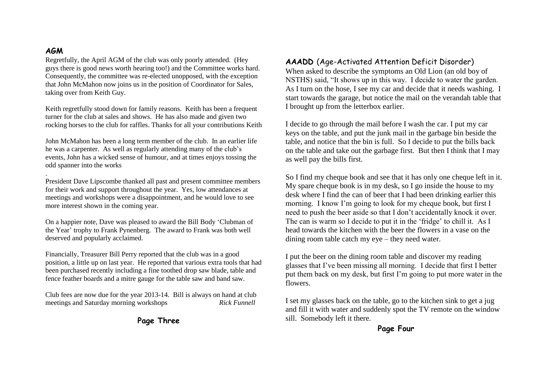#### **AGM**

Regretfully, the April AGM of the club was only poorly attended. (Hey guys there is good news worth hearing too!) and the Committee works hard. Consequently, the committee was re-elected unopposed, with the exception that John McMahon now joins us in the position of Coordinator for Sales, taking over from Keith Guy.

Keith regretfully stood down for family reasons. Keith has been a frequent turner for the club at sales and shows. He has also made and given two rocking horses to the club for raffles. Thanks for all your contributions Keith

John McMahon has been a long term member of the club. In an earlier life he was a carpenter. As well as regularly attending many of the club's events, John has a wicked sense of humour, and at times enjoys tossing the odd spanner into the works

. President Dave Lipscombe thanked all past and present committee members for their work and support throughout the year. Yes, low attendances at meetings and workshops were a disappointment, and he would love to see more interest shown in the coming year.

On a happier note, Dave was pleased to award the Bill Body 'Clubman of the Year' trophy to Frank Pynenberg. The award to Frank was both well deserved and popularly acclaimed.

Financially, Treasurer Bill Perry reported that the club was in a good position, a little up on last year. He reported that various extra tools that had been purchased recently including a fine toothed drop saw blade, table and fence feather boards and a mitre gauge for the table saw and band saw.

Club fees are now due for the year 2013-14. Bill is always on hand at club meetings and Saturday morning workshops *Rick Funnell*

#### **Page Three**

#### **AAADD** (Age-Activated Attention Deficit Disorder)

When asked to describe the symptoms an Old Lion (an old boy of NSTHS) said, "It shows up in this way. I decide to water the garden. As I turn on the hose, I see my car and decide that it needs washing. I start towards the garage, but notice the mail on the verandah table that I brought up from the letterbox earlier.

I decide to go through the mail before I wash the car. I put my car keys on the table, and put the junk mail in the garbage bin beside the table, and notice that the bin is full. So I decide to put the bills back on the table and take out the garbage first. But then I think that I may as well pay the bills first.

So I find my cheque book and see that it has only one cheque left in it. My spare cheque book is in my desk, so I go inside the house to my desk where I find the can of beer that I had been drinking earlier this morning. I know I'm going to look for my cheque book, but first I need to push the beer aside so that I don't accidentally knock it over. The can is warm so I decide to put it in the 'fridge' to chill it. As I head towards the kitchen with the beer the flowers in a vase on the dining room table catch my eye – they need water.

I put the beer on the dining room table and discover my reading glasses that I've been missing all morning. I decide that first I better put them back on my desk, but first I'm going to put more water in the flowers.

I set my glasses back on the table, go to the kitchen sink to get a jug and fill it with water and suddenly spot the TV remote on the window sill. Somebody left it there.

**Page Four**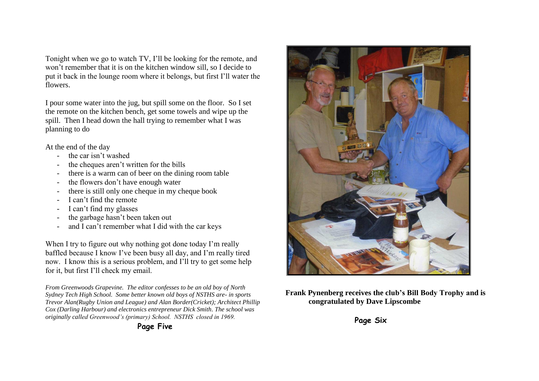Tonight when we go to watch TV, I'll be looking for the remote, and won't remember that it is on the kitchen window sill, so I decide to put it back in the lounge room where it belongs, but first I'll water the flowers.

I pour some water into the jug, but spill some on the floor. So I set the remote on the kitchen bench, get some towels and wipe up the spill. Then I head down the hall trying to remember what I was planning to do

At the end of the day

- the car isn't washed
- the cheques aren't written for the bills
- there is a warm can of beer on the dining room table
- the flowers don't have enough water
- there is still only one cheque in my cheque book
- I can't find the remote
- I can't find my glasses
- the garbage hasn't been taken out
- and I can't remember what I did with the car keys

When I try to figure out why nothing got done today I'm really baffled because I know I've been busy all day, and I'm really tired now. I know this is a serious problem, and I'll try to get some help for it, but first I'll check my email.

*From Greenwoods Grapevine. The editor confesses to be an old boy of North Sydney Tech High School. Some better known old boys of NSTHS are- in sports Trevor Alan(Rugby Union and League) and Alan Border(Cricket); Architect Phillip Cox (Darling Harbour) and electronics entrepreneur Dick Smith. The school was originally called Greenwood's (primary) School. NSTHS closed in 1969.*



**Frank Pynenberg receives the club's Bill Body Trophy and is congratulated by Dave Lipscombe**

**Page Six**